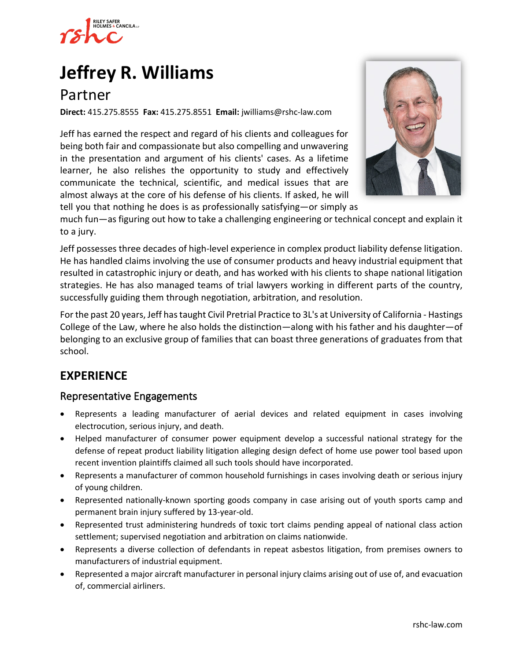

# **[Jeffrey R. Williams](https://www.rshc-law.com/attorneys/attorney/jeffrey-r.-williams)**

## Partner

**Direct:** 415.275.8555 **Fax:** 415.275.8551 **Email:** jwilliams@rshc-law.com

Jeff has earned the respect and regard of his clients and colleagues for being both fair and compassionate but also compelling and unwavering in the presentation and argument of his clients' cases. As a lifetime learner, he also relishes the opportunity to study and effectively communicate the technical, scientific, and medical issues that are almost always at the core of his defense of his clients. If asked, he will tell you that nothing he does is as professionally satisfying—or simply [as](https://www.rshc-law.com/attorneys/attorney/jeffrey-r.-williams) 



much fun—as figuring out how to take a challenging engineering or technical concept and explain it to a jury.

Jeff possesses three decades of high-level experience in complex product liability defense litigation. He has handled claims involving the use of consumer products and heavy industrial equipment that resulted in catastrophic injury or death, and has worked with his clients to shape national litigation strategies. He has also managed teams of trial lawyers working in different parts of the country, successfully guiding them through negotiation, arbitration, and resolution.

For the past 20 years, Jeff has taught Civil Pretrial Practice to 3L's at University of California - Hastings College of the Law, where he also holds the distinction—along with his father and his daughter—of belonging to an exclusive group of families that can boast three generations of graduates from that school.

## **EXPERIENCE**

#### Representative Engagements

- Represents a leading manufacturer of aerial devices and related equipment in cases involving electrocution, serious injury, and death.
- Helped manufacturer of consumer power equipment develop a successful national strategy for the defense of repeat product liability litigation alleging design defect of home use power tool based upon recent invention plaintiffs claimed all such tools should have incorporated.
- Represents a manufacturer of common household furnishings in cases involving death or serious injury of young children.
- Represented nationally-known sporting goods company in case arising out of youth sports camp and permanent brain injury suffered by 13-year-old.
- Represented trust administering hundreds of toxic tort claims pending appeal of national class action settlement; supervised negotiation and arbitration on claims nationwide.
- Represents a diverse collection of defendants in repeat asbestos litigation, from premises owners to manufacturers of industrial equipment.
- Represented a major aircraft manufacturer in personal injury claims arising out of use of, and evacuation of, commercial airliners.